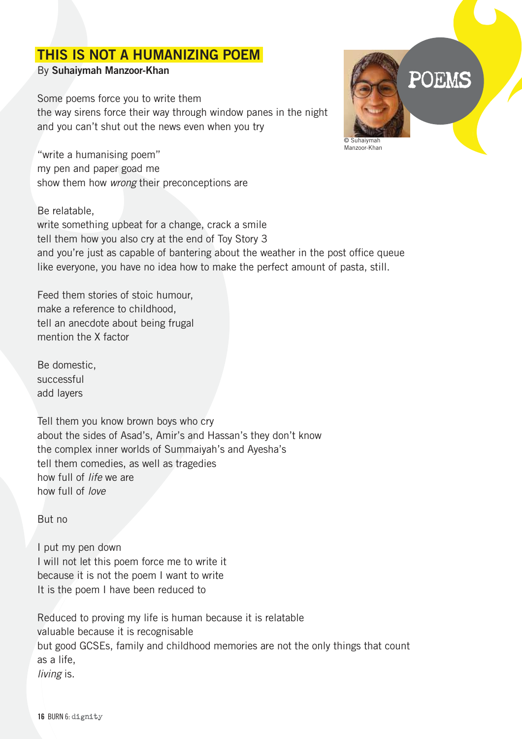## THIS IS NOT A HUMANIZING POEM

## By Suhaiymah Manzoor-Khan

Some poems force you to write them the way sirens force their way through window panes in the night and you can't shut out the news even when you try

"write a humanising poem" my pen and paper goad me show them how wrong their preconceptions are

## Be relatable,

write something upbeat for a change, crack a smile tell them how you also cry at the end of Toy Story 3 and you're just as capable of bantering about the weather in the post office queue like everyone, you have no idea how to make the perfect amount of pasta, still.

Feed them stories of stoic humour, make a reference to childhood, tell an anecdote about being frugal mention the X factor

Be domestic, successful add layers

Tell them you know brown boys who cry about the sides of Asad's, Amir's and Hassan's they don't know the complex inner worlds of Summaiyah's and Ayesha's tell them comedies, as well as tragedies how full of life we are how full of love

But no

I put my pen down I will not let this poem force me to write it because it is not the poem I want to write It is the poem I have been reduced to

Reduced to proving my life is human because it is relatable valuable because it is recognisable but good GCSEs, family and childhood memories are not the only things that count as a life, living is.